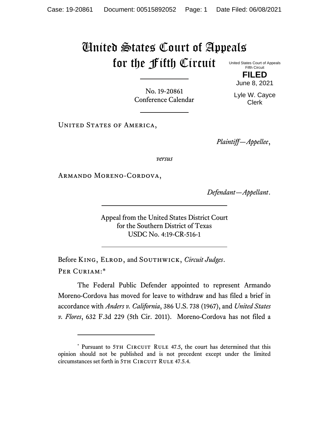## United States Court of Appeals for the Fifth Circuit

United States Court of Appeals Fifth Circuit **FILED**

June 8, 2021

No. 19-20861 Conference Calendar

Lyle W. Cayce Clerk

UNITED STATES OF AMERICA,

*Plaintiff—Appellee*,

*versus*

Armando Moreno-Cordova,

*Defendant—Appellant*.

Appeal from the United States District Court for the Southern District of Texas USDC No. 4:19-CR-516-1

Before King, Elrod, and Southwick, *Circuit Judges*. Per Curiam:\*

The Federal Public Defender appointed to represent Armando Moreno-Cordova has moved for leave to withdraw and has filed a brief in accordance with *Anders v. California*, 386 U.S. 738 (1967), and *United States v. Flores*, 632 F.3d 229 (5th Cir. 2011). Moreno-Cordova has not filed a

<sup>\*</sup> Pursuant to 5TH CIRCUIT RULE 47.5, the court has determined that this opinion should not be published and is not precedent except under the limited circumstances set forth in 5TH CIRCUIT RULE 47.5.4.